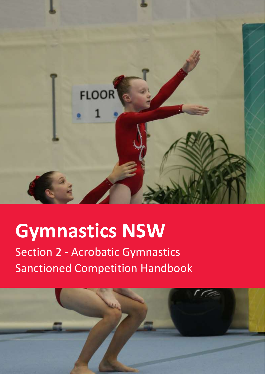

# **Gymnastics NSW**

Section 2 - Acrobatic Gymnastics Sanctioned Competition Handbook

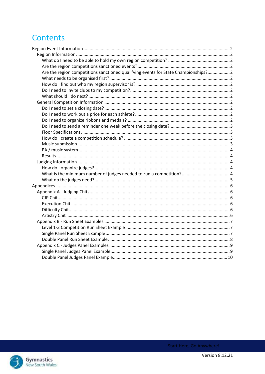# **Contents**

| Are the region competitions sanctioned qualifying events for State Championships? 2 |  |
|-------------------------------------------------------------------------------------|--|
|                                                                                     |  |
|                                                                                     |  |
|                                                                                     |  |
|                                                                                     |  |
|                                                                                     |  |
|                                                                                     |  |
|                                                                                     |  |
|                                                                                     |  |
|                                                                                     |  |
|                                                                                     |  |
|                                                                                     |  |
|                                                                                     |  |
|                                                                                     |  |
|                                                                                     |  |
|                                                                                     |  |
|                                                                                     |  |
|                                                                                     |  |
|                                                                                     |  |
|                                                                                     |  |
|                                                                                     |  |
|                                                                                     |  |
|                                                                                     |  |
|                                                                                     |  |
|                                                                                     |  |
|                                                                                     |  |
|                                                                                     |  |
|                                                                                     |  |
|                                                                                     |  |
|                                                                                     |  |
|                                                                                     |  |
|                                                                                     |  |

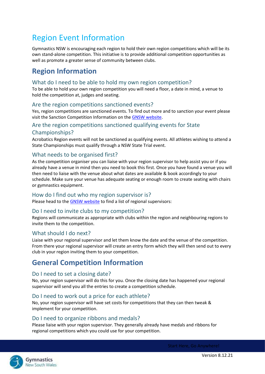# <span id="page-2-0"></span>Region Event Information

Gymnastics NSW is encouraging each region to hold their own region competitions which will be its own stand-alone competition. This initiative is to provide additional competition opportunities as well as promote a greater sense of community between clubs.

# <span id="page-2-1"></span>**Region Information**

#### <span id="page-2-2"></span>What do I need to be able to hold my own region competition?

To be able to hold your own region competition you will need a floor, a date in mind, a venue to hold the competition at, judges and seating.

#### <span id="page-2-3"></span>Are the region competitions sanctioned events?

Yes, region competitions are sanctioned events. To find out more and to sanction your event please visit the Sanction Competition Information on th[e GNSW website.](https://www.nswgymnastics.com.au/sanctioned-events)

#### <span id="page-2-4"></span>Are the region competitions sanctioned qualifying events for State

#### Championships?

Acrobatics Region events will not be sanctioned as qualifying events. All athletes wishing to attend a State Championships must qualify through a NSW State Trial event.

#### <span id="page-2-5"></span>What needs to be organised first?

As the competition organiser you can liaise with your region supervisor to help assist you or if you already have a venue in mind then you need to book this first. Once you have found a venue you will then need to liaise with the venue about what dates are available & book accordingly to your schedule. Make sure your venue has adequate seating or enough room to create seating with chairs or gymnastics equipment.

#### <span id="page-2-6"></span>How do I find out who my region supervisor is?

Please head to th[e GNSW website](http://www.gymnsw.org.au/NSW/About_Us/Committees/NSW/ContentAreas/Contact_Us/Committees.aspx?hkey=9de856b1-6ff9-4fbb-aed5-fb98345b7356) to find a list of regional supervisors:

#### <span id="page-2-7"></span>Do I need to invite clubs to my competition?

Regions will communicate as appropriate with clubs within the region and neighbouring regions to invite them to the competition.

#### <span id="page-2-8"></span>What should I do next?

Liaise with your regional supervisor and let them know the date and the venue of the competition. From there your regional supervisor will create an entry form which they will then send out to every club in your region inviting them to your competition.

# <span id="page-2-9"></span>**General Competition Information**

#### <span id="page-2-10"></span>Do I need to set a closing date?

No, your region supervisor will do this for you. Once the closing date has happened your regional supervisor will send you all the entries to create a competition schedule.

#### <span id="page-2-11"></span>Do I need to work out a price for each athlete?

No, your region supervisor will have set costs for competitions that they can then tweak & implement for your competition.

#### <span id="page-2-12"></span>Do I need to organize ribbons and medals?

Please liaise with your region supervisor. They generally already have medals and ribbons for regional competitions which you could use for your competition.

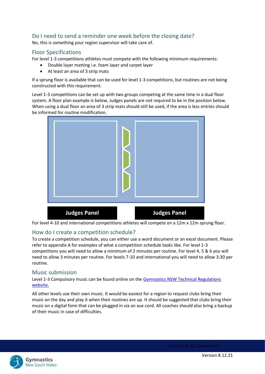## <span id="page-3-0"></span>Do I need to send a reminder one week before the closing date?

No, this is something your region supervisor will take care of.

#### <span id="page-3-1"></span>Floor Specifications

For level 1-3 competitions athletes must compete with the following minimum requirements:

- Double layer matting i.e. foam layer and carpet layer
- At least an area of 3 strip mats

If a sprung floor is available that can be used for level 1-3 competitions, but routines are not being constructed with this requirement.

Level 1-3 competitions can be set up with two groups competing at the same time in a dual floor system. A floor plan example is below, Judges panels are not required to be in the position below. When using a dual floor an area of 3 strip mats should still be used, if the area is less entries should be informed for routine modification.



For level 4-10 and international competitions athletes will compete on a 12m x 12m sprung floor.

#### <span id="page-3-2"></span>How do I create a competition schedule?

To create a competition schedule, you can either use a word document or an excel document. Please refer to appendix A for examples of what a competition schedule looks like. For level 1-3 competitions you will need to allow a minimum of 2 minutes per routine. For level 4, 5 & 6 you will need to allow 3 minutes per routine. For levels 7-10 and international you will need to allow 3:30 per routine.

#### <span id="page-3-3"></span>Music submission

Level 1-3 Compulsory music can be found online on the Gymnastics NSW Technical Regulations [website.](https://www.nswgymnastics.com.au/)

All other levels use their own music. It would be easiest for a region to request clubs bring their music on the day and play it when their routines are up. It should be suggested that clubs bring their music on a digital form that can be plugged in via an aux cord. All coaches should also bring a backup of their music in case of difficulties.

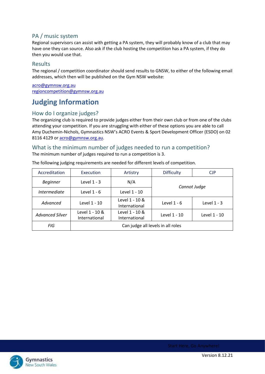## <span id="page-4-0"></span>PA / music system

Regional supervisors can assist with getting a PA system, they will probably know of a club that may have one they can source. Also ask if the club hosting the competition has a PA system, if they do then you would use that.

#### <span id="page-4-1"></span>Results

The regional / competition coordinator should send results to GNSW, to either of the following email addresses, which then will be published on the Gym NSW website:

[acro@gymnsw.org.au](mailto:acro@gymnsw.org.au) [regioncompetition@gymnsw.org.au](mailto:regioncompetition@gymnsw.org.au)

# <span id="page-4-2"></span>**Judging Information**

#### <span id="page-4-3"></span>How do I organize judges?

The organizing club is required to provide judges either from their own club or from one of the clubs attending your competition. If you are struggling with either of these options you are able to call Amy Duchemin-Nichols, Gymnastics NSW's ACRO Events & Sport Development Officer (ESDO) on 02 8116 4129 o[r acro@gymnsw.org.au.](mailto:acro@gymnsw.org.au)

#### <span id="page-4-4"></span>What is the minimum number of judges needed to run a competition? The minimum number of judges required to run a competition is 3.

| Accreditation          | <b>Execution</b>                                | Artistry                          | <b>Difficulty</b> | CJP           |  |  |  |
|------------------------|-------------------------------------------------|-----------------------------------|-------------------|---------------|--|--|--|
| <b>Beginner</b>        | Level $1 - 3$                                   | N/A                               |                   |               |  |  |  |
| <i>Intermediate</i>    | Level $1 - 6$                                   | Level 1 - 10                      | Cannot Judge      |               |  |  |  |
| Advanced               | Level 1 - 10 &<br>Level 1 - 10<br>International |                                   | Level $1 - 6$     | Level $1 - 3$ |  |  |  |
| <b>Advanced Silver</b> | Level 1 - 10 &<br>International                 | Level 1 - 10 &<br>International   | Level 1 - 10      | Level 1 - 10  |  |  |  |
| FIG                    |                                                 | Can judge all levels in all roles |                   |               |  |  |  |

The following judging requirements are needed for different levels of competition.

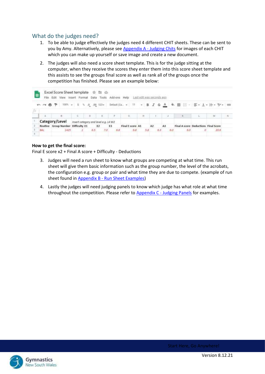#### <span id="page-5-0"></span>What do the judges need?

- 1. To be able to judge effectively the judges need 4 different CHIT sheets. These can be sent to you by Amy. Alternatively, please se[e Appendix A -](#page-6-1) Judging Chits for images of each CHIT which you can make up yourself or save image and create a new document.
- 2. The judges will also need a score sheet template. This is for the judge sitting at the computer, when they receive the scores they enter them into this score sheet template and this assists to see the groups final score as well as rank all of the groups once the competition has finished. Please see an example below:

| 圕  |            | Excel Score Sheet template $\dot{\tau}$ El $\odot$<br>File Edit View Insert Format |             |         | Data Tools                           |    | Add-ons Help Last edit was seconds ago |     |     |     |                                                                      |      |  |
|----|------------|------------------------------------------------------------------------------------|-------------|---------|--------------------------------------|----|----------------------------------------|-----|-----|-----|----------------------------------------------------------------------|------|--|
| īΧ | 的内容节       |                                                                                    | $100\% - -$ |         | $$0, 0, .00, 123-$                   |    |                                        |     |     |     | Default (Ca. - 11 - B <i>I</i> & <u>A</u> & 田 三 - 三 - 1 - 1 - V - 00 |      |  |
|    |            |                                                                                    |             |         |                                      |    |                                        | H   |     |     |                                                                      | M    |  |
|    |            | Category/Level                                                                     |             |         | Insert category and level e.g. L4 W2 |    |                                        |     |     |     |                                                                      |      |  |
|    |            | Routine Group Number Difficulty E1                                                 |             |         | E <sub>2</sub>                       | E3 | Final E score A1                       |     | A2  | A3  | Final A score Deductions Final Score                                 |      |  |
|    | <b>BAL</b> | 1425                                                                               |             | $6.5 -$ | 7.0                                  | 改革 | 6.8                                    | 5.8 | 6.3 | 6.0 | 6.0                                                                  | 70.6 |  |

#### **How to get the final score:**

Final E score x2 + Final A score + Difficulty - Deductions

- 3. Judges will need a run sheet to know what groups are competing at what time. This run sheet will give them basic information such as the group number, the level of the acrobats, the configuration e.g. group or pair and what time they are due to compete. (example of run sheet found in Appendix B - [Run Sheet Examples\)](#page-7-0)
- 4. Lastly the judges will need judging panels to know which judge has what role at what time throughout the competition. Please refer to Appendix C - [Judging Panels](#page-9-0) for examples.

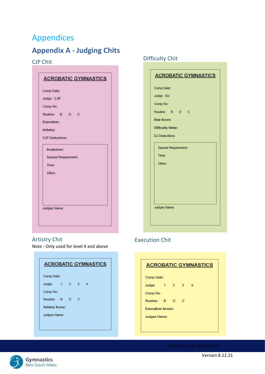# <span id="page-6-0"></span>Appendices

# <span id="page-6-1"></span>**Appendix A - Judging Chits**

## <span id="page-6-2"></span>CJP Chit

| Comp Date:             |                      |  |  |
|------------------------|----------------------|--|--|
| Judge CJP              |                      |  |  |
| Comp No:               |                      |  |  |
| Routine: B D C         |                      |  |  |
| <b>Execution:</b>      |                      |  |  |
| Artistry:              |                      |  |  |
| <b>CJP</b> Deductions: |                      |  |  |
| Breakdown:             |                      |  |  |
|                        | Special Requirement: |  |  |
| Time:                  |                      |  |  |
| Other:                 |                      |  |  |
|                        |                      |  |  |
|                        |                      |  |  |
|                        |                      |  |  |
|                        |                      |  |  |
| Judges Name:           |                      |  |  |

## <span id="page-6-3"></span>Artistry Chit

Note - Only used for level 4 and above

| Comp Date:             |                   |   |  |
|------------------------|-------------------|---|--|
| Judge                  | $1\quad 2\quad 3$ |   |  |
| Comp No:               |                   |   |  |
| Routine: B D           |                   | с |  |
| <b>Artistry Score:</b> |                   |   |  |
| Judges Name:           |                   |   |  |

# Difficulty Chit

| Comp Date:                  |  |  |
|-----------------------------|--|--|
| Judge DJ                    |  |  |
| Comp No:                    |  |  |
| Routine: B D C              |  |  |
| <b>Raw Score:</b>           |  |  |
| <b>Difficulty Value:</b>    |  |  |
| <b>DJ Deductions:</b>       |  |  |
| <b>Special Requirement:</b> |  |  |
| Time:                       |  |  |
| Other:                      |  |  |
|                             |  |  |
|                             |  |  |
|                             |  |  |
|                             |  |  |
| Judges Name:                |  |  |
|                             |  |  |

## Execution Chit

| Comp Date:              |             |   |  |
|-------------------------|-------------|---|--|
| Judge                   | $1 \t2 \t3$ |   |  |
| Comp No:                |             |   |  |
| Routine: B D            |             | c |  |
| <b>Execution Score:</b> |             |   |  |
| Judges Name:            |             |   |  |

Start Here, Go Anywhere!



Version 8.12.21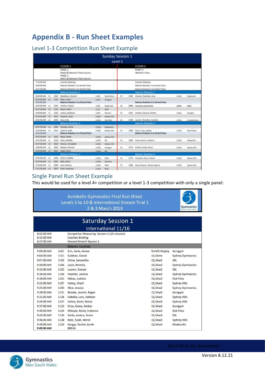# <span id="page-7-0"></span>**Appendix B - Run Sheet Examples**

## <span id="page-7-1"></span>Level 1-3 Competition Run Sheet Example

|                           |              |             |                                                                                              |              | <b>Sunday Session 1</b>           |           |             |                                                                     |                |               |
|---------------------------|--------------|-------------|----------------------------------------------------------------------------------------------|--------------|-----------------------------------|-----------|-------------|---------------------------------------------------------------------|----------------|---------------|
|                           |              |             |                                                                                              |              |                                   | Level 1   |             |                                                                     |                |               |
|                           |              |             | FLOOR 1                                                                                      |              |                                   |           |             | FLOOR 2                                                             |                |               |
|                           |              |             | PANEL 1<br>Mixed & Women's Pairs Dunior)<br><b>PANEL 2</b><br>Men's & Women's Pairs (Senior) |              |                                   |           |             | <b>PANEL 3</b><br>Women's Trios                                     |                |               |
| 7:55:00 AM                |              |             | <b>Coaches Meeting</b>                                                                       |              |                                   |           |             | <b>Coaches Meeting</b>                                              |                |               |
| 8:00:00 AM                |              |             | Balance Rotation 1 to Stretch Floor                                                          |              |                                   |           |             | <b>Balance Rotation 1 to Stretch Floor</b>                          |                |               |
| 8:17:30 AM                |              |             | Balance Rotation 2 to Stretch Floor                                                          |              |                                   |           |             | Balance Rotation 2 to Stretch Floor                                 |                |               |
|                           |              |             | <b>Balance Rotation 1</b>                                                                    |              |                                   |           |             | Balance Rotation 1                                                  |                |               |
| <b>E-30-DO AM</b>         | F1           | 35412       | Maddison, Hamich                                                                             | LIMK         | <b>North Shore</b>                | PS.       | <b>LBG3</b> | Chartie, Chartotte, Sara                                            | <b>LYW'LL</b>  | Gladetaille   |
| \$132-30 AM<br>8:35:00 AM | 352          | 1.TIL       | <b>Blay, Calvin.</b><br><b>Balance Rotation 3 to Stretch Floor</b>                           | <b>LUMI</b>  | Acrigym                           |           |             | <b>Balance Rotation 3 to Stretch Floor</b>                          |                |               |
| <b>E35:00 AM</b>          | P3           | 1501        | Amelia, Cooper                                                                               | L1MH         | Gadesville                        | m         | 1306        | Harmamy, Apak, Bricke                                               | <b>Lüsteki</b> | تنتنه         |
| 8:37:30 AM                | P)           | 1302        | Mitch, Nichil                                                                                | LINE         | <b>SEAC</b>                       |           |             |                                                                     |                |               |
| 8:40:00 AM                | F1           | 35000       | Jashus, Martissey                                                                            | LibAK        | Phoenix                           | P3        | 1301        | Ametia, Clarious, Ametia                                            | LYWIM          | Acregien      |
| E-42:30 AM                | m            | 1011        | <b>Kaylene, Tayla</b>                                                                        | LIWIS        | Sydney FERS                       |           |             |                                                                     |                |               |
| <b>IL45-00 AM</b>         | P1           |             | 1002 Zara, Evin                                                                              | <b>LIWD</b>  | <b>Oak Flats</b>                  | <b>PS</b> | 1308        | Jaurah, Charlotte, Carolina                                         | <b>LEWA</b>    | Campbellown   |
|                           |              |             | <b>Balance Rotation 2</b>                                                                    |              |                                   |           |             | <b>Balance Rotation J</b>                                           |                |               |
| BAT-30 AM                 | <b>WE</b>    | <b>SDDS</b> | Georgia, Alena                                                                               | L1W25        | <b><i><u>Olavkesville</u></i></b> |           |             |                                                                     |                |               |
| 8:50:00 AM<br>8:52:30 AM  | 21           | 1012        | Zhanna, Sofia<br><b>Balance Rotation 4 to Stretch Floor</b>                                  | L1W2L        | Sydney Hills                      | PS        | 1309        | Perry, Taka, itabelin<br><b>Balance Rotation 4 to Stretch Floor</b> | 120631         | Nerth Share   |
| 8:52:30 AM                | n            | 1025        | Mays, Robin                                                                                  | L1W2s        | <b>Systems Hills:</b>             |           |             |                                                                     |                |               |
| <b>BISS:DO AM</b>         | $\mathbf{r}$ | 3018        | Alice, Matilda                                                                               | LEWIS        | SAL.                              | PS        | 1304        | Urace, Kalvina, Caolisinn                                           | LYW31          | Glazieratike  |
| B/57/30 AM                | <b>JO</b>    | 5024        | Sharon, Annabelin                                                                            | L1W2s        | <b>Sydney Hills</b>               |           |             |                                                                     |                |               |
| 9:00:00 AM                | P1           | 1001        | Macey, Summer                                                                                | L1W21        | Acropyre                          | PX        | 1313        | Emma, Cindy, Grace                                                  | LSWH EL        | Systemy Hills |
| 9/02:10 AM                | Уũ           | 1021        | Zabel, Derre                                                                                 | LIWIN        | sos.                              |           |             |                                                                     |                |               |
|                           |              |             | <b>Balance Butation 3</b>                                                                    |              |                                   |           |             | <b>Balance Botabion 3</b>                                           |                |               |
| 9:05:00 AM                | 44           | 1026        | Arrira, talbella                                                                             | LIWI         | <b>SGAC</b>                       | PS-       | 1314        | Charlotte, Khiue, Tattochi                                          | LEWEL          | Subsey Hill's |
| 9:07:30 AM                | $_{\rm FJ}$  | 5001        | Allia, Olivia                                                                                | LSWIN        | <b>Dak Flats</b>                  |           |             |                                                                     |                |               |
| MA 00:02:9                | <b>P3</b>    | 1009        | Ana, Brianna                                                                                 | LYMEL        | SILMO                             | <b>PE</b> | 1306        | Mula, Breanna, Adresn Figures                                       | LYM'M          | Suchrony FEBS |
| <b>MA 02:37:48</b>        | -ara-        |             | SONY - Ellah: Manuscrity                                                                     | IT'S SAFEK - | start dur-                        |           |             | TO TENNISY STAGGOLIN'                                               |                |               |

## <span id="page-7-2"></span>Single Panel Run Sheet Example

This would be used for a level 4+ competition or a level 1-3 competition with only a single panel:

|                                        |      | <b>Acrobatic Gymnastics Final Run Sheet</b><br>Levels 6 to 10 & International Stream Trial 1<br>2 & 3 March 2019 |               | <b>Gymnastics</b><br>Ness/South Wa |
|----------------------------------------|------|------------------------------------------------------------------------------------------------------------------|---------------|------------------------------------|
|                                        |      | <b>Saturday Session 1</b>                                                                                        |               |                                    |
|                                        |      | International 11/16                                                                                              |               |                                    |
| 8:02:00 AM<br>8:12:00 AM<br>8:17:00 AM |      | Competitor Measuring Session 1 (10 minutes)<br><b>Coaches Briefing</b><br>General Stretch Session 1              |               |                                    |
|                                        |      | <b>Balance routines</b>                                                                                          |               |                                    |
| 9:00:00 AM                             | 1431 | Erin, Zarie, Aimee                                                                                               | SnrW3 Display | Acrogym                            |
| $9:04:00$ AM                           | 1151 | Siobhan, Daniel                                                                                                  | $11/16$ mx    | <b>Sydney Gymnastics</b>           |
| 9:07:00 AM                             | 1103 | Olivia, Samantha                                                                                                 | 11/16w2       | SXL                                |
| $9:10:00$ AM                           | 1106 | Layla, Raimely                                                                                                   | 11/16w2       | <b>Sydney Gymnastics</b>           |
| 9:13:00 AM                             | 1102 | Lauren, Danyel                                                                                                   | 11/16w2       | SXL                                |
| $9:16:00$ AM                           | 1104 | Heather, Jovana                                                                                                  | 11/16w2       | <b>Sydney Gymnastics</b>           |
| $9:19:00$ AM                           | 1101 | Abbey, Latisha                                                                                                   | 11/16w2       | Oak Flats                          |
| $9:22:00$ AM                           | 1107 | Hailey, Charli                                                                                                   | 11/16w2       | <b>Sydney Hills</b>                |
| 9:25:00 AM                             | 1105 | Alice, Jessica                                                                                                   | 11/16w2       | <b>Sydney Gymnastics</b>           |
| $9:28:00$ AM                           | 1131 | Brooke, Jasmin, Regan                                                                                            | 11/16w3       | Acrogym                            |
| 9:31:00 AM                             | 1136 | Isabella, Lara, Addison                                                                                          | 11/16w3       | Sydney Hills                       |
| $9:34:00$ AM                           | 1137 | Celine, Demi, Macie                                                                                              | 11/16w3       | Sydney Hills                       |
| 9:37:00 AM                             | 1132 | Erica, Grace, Amber                                                                                              | 11/16w3       | Acrogym                            |
| 9:40:00 AM                             | 1134 | Mikayla, Molly, Indianna                                                                                         | 11/16w3       | Oak Flats                          |
| 9:43:00 AM                             | 1135 | Stella, Jessica, Grace                                                                                           | 11/16w3       | <b>SXL</b>                         |
| $9:46:00$ AM                           | 1138 | Kate, Tylah, Neroli                                                                                              | 11/16w3       | Sydney Hills                       |
| $9:49:00$ AM<br>9:49:00 AM             | 1133 | Kangyi, Rachel, Sarah<br><b>BREAK</b>                                                                            | 11/16w3       | Gladesville                        |

Page 1979 Start Here, Go Anywhere!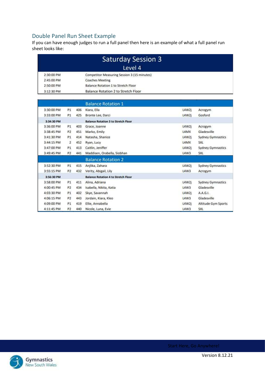## <span id="page-8-0"></span>Double Panel Run Sheet Example

If you can have enough judges to run a full panel then here is an example of what a full panel run sheet looks like:

|            | <b>Saturday Session 3</b>                   |  |  |  |  |  |
|------------|---------------------------------------------|--|--|--|--|--|
|            | Level 4                                     |  |  |  |  |  |
| 2:30:00 PM | Competitor Measuring Session 3 (15 minutes) |  |  |  |  |  |
| 2:45:00 PM | <b>Coaches Meeting</b>                      |  |  |  |  |  |
| 2:50:00 PM | Balance Rotation 1 to Stretch Floor         |  |  |  |  |  |
| 3:12:30 PM | Balance Rotation 2 to Stretch Floor         |  |  |  |  |  |

|            |                |     | <b>Balance Rotation 1</b>                  |             |                          |
|------------|----------------|-----|--------------------------------------------|-------------|--------------------------|
| 3:30:00 PM | P <sub>1</sub> | 406 | Kiara, Ella                                | L4W2j       | Acrogym                  |
| 3:33:00 PM | P1             | 425 | Bronte Lee, Darci                          | L4W2j       | Gosford                  |
| 3:34:30 PM |                |     | <b>Balance Rotation 3 to Stretch Floor</b> |             |                          |
| 3:36:00 PM | P1             | 403 | Grace, Joanne                              | L4W2j       | Acrogym                  |
| 3:38:45 PM | P <sub>2</sub> | 451 | Marko, Emily                               | L4MX        | Gladesville              |
| 3:41:30 PM | P1             | 414 | Natasha, Shanice                           | L4W2j       | <b>Sydney Gymnastics</b> |
| 3:44:15 PM | $\overline{2}$ | 452 | Ryan, Lucy                                 | L4MX        | <b>SXL</b>               |
| 3:47:00 PM | P1             | 413 | Caitlin, Jeniffer                          | L4W2j       | <b>Sydney Gymnastics</b> |
| 3:49:45 PM | P <sub>2</sub> | 441 | Maddisen, Orabella, Siobhan                | <b>L4W3</b> | SXL                      |
|            |                |     | <b>Balance Rotation 2</b>                  |             |                          |
| 3:52:30 PM | P <sub>1</sub> | 415 | Anjlika, Zahara                            | L4W2j       | <b>Sydney Gymnastics</b> |
| 3:55:15 PM | P <sub>2</sub> | 432 | Verity, Abigail, Lily                      | L4W3        | Acrogym                  |
| 3:56:30 PM |                |     | <b>Balance Rotation 4 to Stretch Floor</b> |             |                          |
| 3:58:00 PM | P <sub>1</sub> | 411 | Alina, Adriana                             | L4W2j       | <b>Sydney Gymnastics</b> |
| 4:00:45 PM | P <sub>2</sub> | 434 | Isabella, Nikita, Katia                    | L4W3        | Gladesville              |
| 4:03:30 PM | P1             | 402 | Skye, Savannah                             | L4W2i       | A.A.G.I.                 |
| 4:06:15 PM | P <sub>2</sub> | 443 | Jordain, Kiara, Kleo                       | L4W3        | Gladesville              |
| 4:09:00 PM | P1             | 419 | Ellie, Annabella                           | L4W2j       | Altitude Gym Sports      |
| 4:11:45 PM | P <sub>2</sub> | 440 | Nicole, Luna, Evie                         | L4W3        | SXL                      |

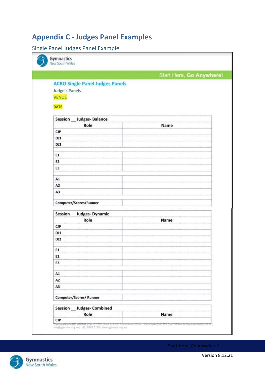# <span id="page-9-0"></span>**Appendix C - Judges Panel Examples**

## <span id="page-9-1"></span>Single Panel Judges Panel Example

| Gymnastics<br>New South Wales          |                          |
|----------------------------------------|--------------------------|
|                                        | Start Here, Go Anywhere! |
| <b>ACRO Single Panel Judges Panels</b> |                          |
| Judge's Panels                         |                          |
| <b>VENUE</b>                           |                          |
| DATE                                   |                          |
| Session __ Judges- Balance             |                          |
| Role                                   | Name                     |
| CJP                                    |                          |
| DJ1                                    |                          |
| DJ <sub>2</sub>                        |                          |
|                                        |                          |
| E1                                     |                          |
| E <sub>2</sub>                         |                          |
| E3                                     |                          |
| A1                                     |                          |
| A <sub>2</sub>                         |                          |
| A3                                     |                          |
| Computer/Scores/Runner                 |                          |
|                                        |                          |
| Session __ Judges- Dynamic             |                          |
| Role<br>CP                             | Name                     |
| DJ1                                    |                          |
| DJ <sub>2</sub>                        |                          |
|                                        |                          |
| E1                                     |                          |
| E <sub>2</sub>                         |                          |
| E3                                     |                          |
|                                        |                          |
| A1                                     |                          |
| A <sub>2</sub><br>A3                   |                          |
|                                        |                          |
| Computer/Scores/ Runner                |                          |
| Session __ Judges- Combined            |                          |
| Role                                   | Name                     |
| CP                                     |                          |